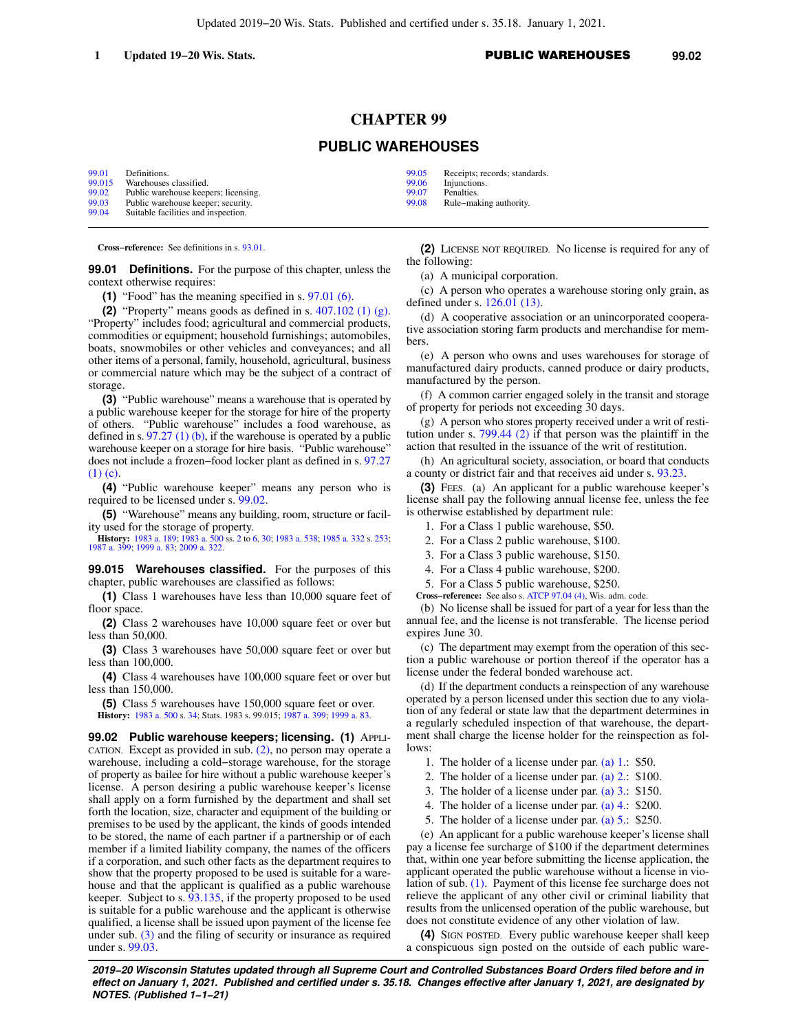# **CHAPTER 99**

## **PUBLIC WAREHOUSES**

| 99.01  | Definitions.                         |
|--------|--------------------------------------|
| 99.015 | Warehouses classified.               |
| 99.02  | Public warehouse keepers; licensing. |
| 99.03  | Public warehouse keeper; security.   |
| 99.04  | Suitable facilities and inspection.  |

**Cross−reference:** See definitions in s. [93.01.](https://docs-preview.legis.wisconsin.gov/document/statutes/93.01)

**99.01 Definitions.** For the purpose of this chapter, unless the context otherwise requires:

**(1)** "Food" has the meaning specified in s. [97.01 \(6\).](https://docs-preview.legis.wisconsin.gov/document/statutes/97.01(6))

**(2)** "Property" means goods as defined in s. [407.102 \(1\) \(g\).](https://docs-preview.legis.wisconsin.gov/document/statutes/407.102(1)(g))

"Property" includes food; agricultural and commercial products, commodities or equipment; household furnishings; automobiles, boats, snowmobiles or other vehicles and conveyances; and all other items of a personal, family, household, agricultural, business or commercial nature which may be the subject of a contract of storage.

**(3)** "Public warehouse" means a warehouse that is operated by a public warehouse keeper for the storage for hire of the property of others. "Public warehouse" includes a food warehouse, as defined in s.  $97.27$  (1) (b), if the warehouse is operated by a public warehouse keeper on a storage for hire basis. "Public warehouse" does not include a frozen−food locker plant as defined in s. [97.27](https://docs-preview.legis.wisconsin.gov/document/statutes/97.27(1)(c)) [\(1\) \(c\).](https://docs-preview.legis.wisconsin.gov/document/statutes/97.27(1)(c))

**(4)** "Public warehouse keeper" means any person who is required to be licensed under s. [99.02.](https://docs-preview.legis.wisconsin.gov/document/statutes/99.02)

**(5)** "Warehouse" means any building, room, structure or facility used for the storage of property.

**History:** [1983 a. 189](https://docs-preview.legis.wisconsin.gov/document/acts/1983/189); [1983 a. 500](https://docs-preview.legis.wisconsin.gov/document/acts/1983/500) ss. [2](https://docs-preview.legis.wisconsin.gov/document/acts/1983/500,%20s.%202) to [6](https://docs-preview.legis.wisconsin.gov/document/acts/1983/500,%20s.%206), [30;](https://docs-preview.legis.wisconsin.gov/document/acts/1983/500,%20s.%2030) [1983 a. 538;](https://docs-preview.legis.wisconsin.gov/document/acts/1983/538) [1985 a. 332](https://docs-preview.legis.wisconsin.gov/document/acts/1985/332) s. [253](https://docs-preview.legis.wisconsin.gov/document/acts/1985/332,%20s.%20253); [1987 a. 399;](https://docs-preview.legis.wisconsin.gov/document/acts/1987/399) [1999 a. 83;](https://docs-preview.legis.wisconsin.gov/document/acts/1999/83) [2009 a. 322.](https://docs-preview.legis.wisconsin.gov/document/acts/2009/322)

**99.015 Warehouses classified.** For the purposes of this chapter, public warehouses are classified as follows:

**(1)** Class 1 warehouses have less than 10,000 square feet of floor space.

**(2)** Class 2 warehouses have 10,000 square feet or over but less than 50,000.

**(3)** Class 3 warehouses have 50,000 square feet or over but less than 100,000.

**(4)** Class 4 warehouses have 100,000 square feet or over but less than 150,000.

**(5)** Class 5 warehouses have 150,000 square feet or over. **History:** [1983 a. 500](https://docs-preview.legis.wisconsin.gov/document/acts/1983/500) s. [34](https://docs-preview.legis.wisconsin.gov/document/acts/1983/500,%20s.%2034); Stats. 1983 s. 99.015; [1987 a. 399](https://docs-preview.legis.wisconsin.gov/document/acts/1987/399); [1999 a. 83](https://docs-preview.legis.wisconsin.gov/document/acts/1999/83).

**99.02 Public warehouse keepers; licensing. (1)** APPLI-CATION. Except as provided in sub. [\(2\)](https://docs-preview.legis.wisconsin.gov/document/statutes/99.02(2)), no person may operate a warehouse, including a cold−storage warehouse, for the storage of property as bailee for hire without a public warehouse keeper's license. A person desiring a public warehouse keeper's license shall apply on a form furnished by the department and shall set forth the location, size, character and equipment of the building or premises to be used by the applicant, the kinds of goods intended to be stored, the name of each partner if a partnership or of each member if a limited liability company, the names of the officers if a corporation, and such other facts as the department requires to show that the property proposed to be used is suitable for a warehouse and that the applicant is qualified as a public warehouse keeper. Subject to s. [93.135,](https://docs-preview.legis.wisconsin.gov/document/statutes/93.135) if the property proposed to be used is suitable for a public warehouse and the applicant is otherwise qualified, a license shall be issued upon payment of the license fee under sub.  $(3)$  and the filing of security or insurance as required under s. [99.03](https://docs-preview.legis.wisconsin.gov/document/statutes/99.03).

**(2)** LICENSE NOT REQUIRED. No license is required for any of the following:

(a) A municipal corporation.

(c) A person who operates a warehouse storing only grain, as defined under s. [126.01 \(13\).](https://docs-preview.legis.wisconsin.gov/document/statutes/126.01(13))

(d) A cooperative association or an unincorporated cooperative association storing farm products and merchandise for members.

(e) A person who owns and uses warehouses for storage of manufactured dairy products, canned produce or dairy products, manufactured by the person.

(f) A common carrier engaged solely in the transit and storage of property for periods not exceeding 30 days.

(g) A person who stores property received under a writ of restitution under s. [799.44 \(2\)](https://docs-preview.legis.wisconsin.gov/document/statutes/799.44(2)) if that person was the plaintiff in the action that resulted in the issuance of the writ of restitution.

(h) An agricultural society, association, or board that conducts a county or district fair and that receives aid under s. [93.23.](https://docs-preview.legis.wisconsin.gov/document/statutes/93.23)

**(3)** FEES. (a) An applicant for a public warehouse keeper's license shall pay the following annual license fee, unless the fee is otherwise established by department rule:

1. For a Class 1 public warehouse, \$50.

2. For a Class 2 public warehouse, \$100.

- 3. For a Class 3 public warehouse, \$150.
- 4. For a Class 4 public warehouse, \$200.

5. For a Class 5 public warehouse, \$250.

**Cross−reference:** See also s. [ATCP 97.04 \(4\),](https://docs-preview.legis.wisconsin.gov/document/administrativecode/ATCP%2097.04(4)) Wis. adm. code.

(b) No license shall be issued for part of a year for less than the annual fee, and the license is not transferable. The license period expires June 30.

(c) The department may exempt from the operation of this section a public warehouse or portion thereof if the operator has a license under the federal bonded warehouse act.

(d) If the department conducts a reinspection of any warehouse operated by a person licensed under this section due to any violation of any federal or state law that the department determines in a regularly scheduled inspection of that warehouse, the department shall charge the license holder for the reinspection as follows:

- 1. The holder of a license under par. [\(a\) 1.:](https://docs-preview.legis.wisconsin.gov/document/statutes/99.02(3)(a)1.) \$50.
- 2. The holder of a license under par. [\(a\) 2.:](https://docs-preview.legis.wisconsin.gov/document/statutes/99.02(3)(a)2.) \$100.
- 3. The holder of a license under par. [\(a\) 3.:](https://docs-preview.legis.wisconsin.gov/document/statutes/99.02(3)(a)3.) \$150.
- 4. The holder of a license under par. [\(a\) 4.:](https://docs-preview.legis.wisconsin.gov/document/statutes/99.02(3)(a)4.) \$200.
- 5. The holder of a license under par. [\(a\) 5.:](https://docs-preview.legis.wisconsin.gov/document/statutes/99.02(3)(a)5.) \$250.

(e) An applicant for a public warehouse keeper's license shall pay a license fee surcharge of \$100 if the department determines that, within one year before submitting the license application, the applicant operated the public warehouse without a license in violation of sub. [\(1\).](https://docs-preview.legis.wisconsin.gov/document/statutes/99.02(1)) Payment of this license fee surcharge does not relieve the applicant of any other civil or criminal liability that results from the unlicensed operation of the public warehouse, but does not constitute evidence of any other violation of law.

**(4)** SIGN POSTED. Every public warehouse keeper shall keep a conspicuous sign posted on the outside of each public ware-

**2019−20 Wisconsin Statutes updated through all Supreme Court and Controlled Substances Board Orders filed before and in effect on January 1, 2021. Published and certified under s. 35.18. Changes effective after January 1, 2021, are designated by NOTES. (Published 1−1−21)**

[99.05](https://docs-preview.legis.wisconsin.gov/document/statutes/99.05) Receipts; records; standards.

| 99.06 | Injunctions.  |
|-------|---------------|
| ററ റൗ | $D = 147 - 1$ |

[99.07](https://docs-preview.legis.wisconsin.gov/document/statutes/99.07) Penalties<br>99.08 Rule–ma Rule−making authority.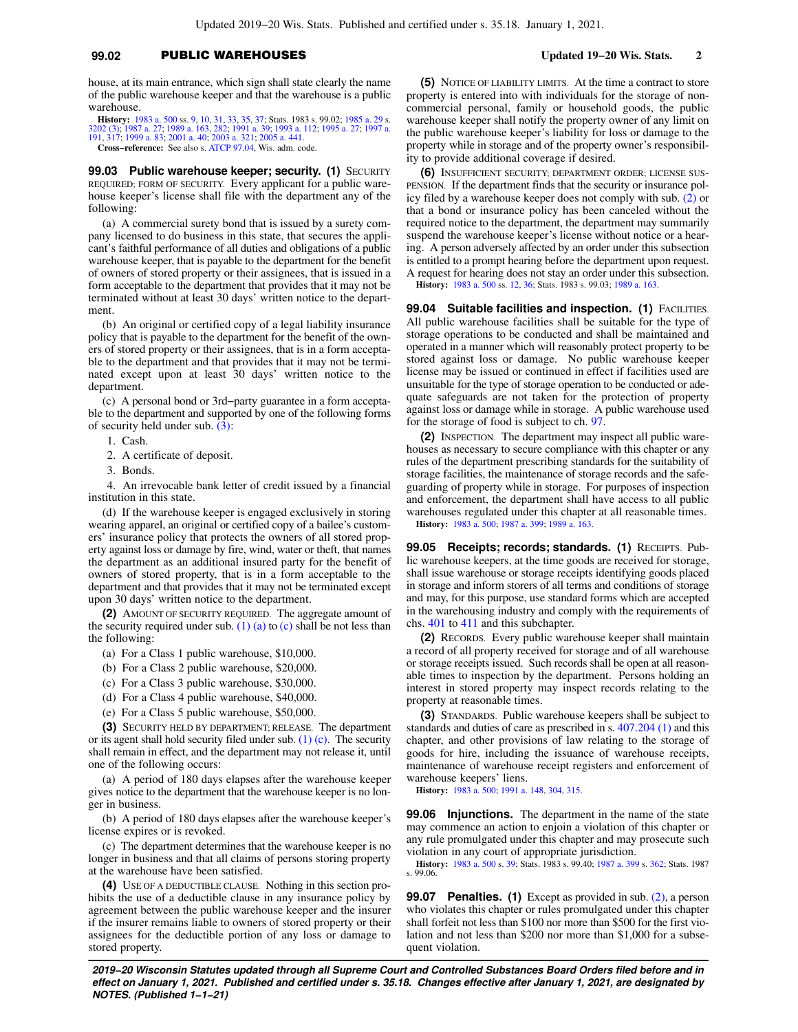### **99.02** PUBLIC WAREHOUSES **Updated 19−20 Wis. Stats. 2**

house, at its main entrance, which sign shall state clearly the name of the public warehouse keeper and that the warehouse is a public warehouse.

**History:** [1983 a. 500](https://docs-preview.legis.wisconsin.gov/document/acts/1983/500) ss. [9](https://docs-preview.legis.wisconsin.gov/document/acts/1983/500,%20s.%209), [10,](https://docs-preview.legis.wisconsin.gov/document/acts/1983/500,%20s.%2010) [31](https://docs-preview.legis.wisconsin.gov/document/acts/1983/500,%20s.%2031), [33,](https://docs-preview.legis.wisconsin.gov/document/acts/1983/500,%20s.%2033) [35](https://docs-preview.legis.wisconsin.gov/document/acts/1983/500,%20s.%2035), [37;](https://docs-preview.legis.wisconsin.gov/document/acts/1983/500,%20s.%2037) Stats. 1983 s. 99.02; [1985 a. 29](https://docs-preview.legis.wisconsin.gov/document/acts/1985/29) s. [3202 \(3\);](https://docs-preview.legis.wisconsin.gov/document/acts/1985/29,%20s.%203202) [1987 a. 27](https://docs-preview.legis.wisconsin.gov/document/acts/1987/27); [1989 a. 163,](https://docs-preview.legis.wisconsin.gov/document/acts/1989/163) [282;](https://docs-preview.legis.wisconsin.gov/document/acts/1989/282) [1991 a. 39](https://docs-preview.legis.wisconsin.gov/document/acts/1991/39); [1993 a. 112](https://docs-preview.legis.wisconsin.gov/document/acts/1993/112); [1995 a. 27;](https://docs-preview.legis.wisconsin.gov/document/acts/1995/27) [1997 a.](https://docs-preview.legis.wisconsin.gov/document/acts/1997/191) [191](https://docs-preview.legis.wisconsin.gov/document/acts/1997/191), [317](https://docs-preview.legis.wisconsin.gov/document/acts/1997/317); [1999 a. 83;](https://docs-preview.legis.wisconsin.gov/document/acts/1999/83) [2001 a. 40;](https://docs-preview.legis.wisconsin.gov/document/acts/2001/40) [2003 a. 321](https://docs-preview.legis.wisconsin.gov/document/acts/2003/321); [2005 a. 441](https://docs-preview.legis.wisconsin.gov/document/acts/2005/441). **Cross−reference:** See also s. [ATCP 97.04,](https://docs-preview.legis.wisconsin.gov/document/administrativecode/ATCP%2097.04) Wis. adm. code.

**99.03 Public warehouse keeper; security. (1) SECURITY** REQUIRED; FORM OF SECURITY. Every applicant for a public warehouse keeper's license shall file with the department any of the following:

(a) A commercial surety bond that is issued by a surety company licensed to do business in this state, that secures the applicant's faithful performance of all duties and obligations of a public warehouse keeper, that is payable to the department for the benefit of owners of stored property or their assignees, that is issued in a form acceptable to the department that provides that it may not be terminated without at least 30 days' written notice to the department.

(b) An original or certified copy of a legal liability insurance policy that is payable to the department for the benefit of the owners of stored property or their assignees, that is in a form acceptable to the department and that provides that it may not be terminated except upon at least 30 days' written notice to the department.

(c) A personal bond or 3rd−party guarantee in a form acceptable to the department and supported by one of the following forms of security held under sub. [\(3\):](https://docs-preview.legis.wisconsin.gov/document/statutes/99.03(3))

- 1. Cash.
- 2. A certificate of deposit.
- 3. Bonds.

4. An irrevocable bank letter of credit issued by a financial institution in this state.

(d) If the warehouse keeper is engaged exclusively in storing wearing apparel, an original or certified copy of a bailee's customers' insurance policy that protects the owners of all stored property against loss or damage by fire, wind, water or theft, that names the department as an additional insured party for the benefit of owners of stored property, that is in a form acceptable to the department and that provides that it may not be terminated except upon 30 days' written notice to the department.

**(2)** AMOUNT OF SECURITY REQUIRED. The aggregate amount of the security required under sub.  $(1)$  (a) to [\(c\)](https://docs-preview.legis.wisconsin.gov/document/statutes/99.03(1)(c)) shall be not less than the following:

- (a) For a Class 1 public warehouse, \$10,000.
- (b) For a Class 2 public warehouse, \$20,000.
- (c) For a Class 3 public warehouse, \$30,000.
- (d) For a Class 4 public warehouse, \$40,000.
- (e) For a Class 5 public warehouse, \$50,000.

**(3)** SECURITY HELD BY DEPARTMENT; RELEASE. The department or its agent shall hold security filed under sub.  $(1)$  (c). The security shall remain in effect, and the department may not release it, until one of the following occurs:

(a) A period of 180 days elapses after the warehouse keeper gives notice to the department that the warehouse keeper is no longer in business.

(b) A period of 180 days elapses after the warehouse keeper's license expires or is revoked.

(c) The department determines that the warehouse keeper is no longer in business and that all claims of persons storing property at the warehouse have been satisfied.

**(4)** USE OF A DEDUCTIBLE CLAUSE. Nothing in this section prohibits the use of a deductible clause in any insurance policy by agreement between the public warehouse keeper and the insurer if the insurer remains liable to owners of stored property or their assignees for the deductible portion of any loss or damage to stored property.

**(5)** NOTICE OF LIABILITY LIMITS. At the time a contract to store property is entered into with individuals for the storage of noncommercial personal, family or household goods, the public warehouse keeper shall notify the property owner of any limit on the public warehouse keeper's liability for loss or damage to the property while in storage and of the property owner's responsibility to provide additional coverage if desired.

**(6)** INSUFFICIENT SECURITY; DEPARTMENT ORDER; LICENSE SUS-PENSION. If the department finds that the security or insurance policy filed by a warehouse keeper does not comply with sub. [\(2\)](https://docs-preview.legis.wisconsin.gov/document/statutes/99.03(2)) or that a bond or insurance policy has been canceled without the required notice to the department, the department may summarily suspend the warehouse keeper's license without notice or a hearing. A person adversely affected by an order under this subsection is entitled to a prompt hearing before the department upon request. A request for hearing does not stay an order under this subsection. **History:** [1983 a. 500](https://docs-preview.legis.wisconsin.gov/document/acts/1983/500) ss. [12](https://docs-preview.legis.wisconsin.gov/document/acts/1983/500,%20s.%2012), [36;](https://docs-preview.legis.wisconsin.gov/document/acts/1983/500,%20s.%2036) Stats. 1983 s. 99.03; [1989 a. 163](https://docs-preview.legis.wisconsin.gov/document/acts/1989/163).

**99.04 Suitable facilities and inspection. (1) FACILITIES.** All public warehouse facilities shall be suitable for the type of storage operations to be conducted and shall be maintained and operated in a manner which will reasonably protect property to be stored against loss or damage. No public warehouse keeper license may be issued or continued in effect if facilities used are unsuitable for the type of storage operation to be conducted or adequate safeguards are not taken for the protection of property against loss or damage while in storage. A public warehouse used for the storage of food is subject to ch. [97.](https://docs-preview.legis.wisconsin.gov/document/statutes/ch.%2097)

**(2)** INSPECTION. The department may inspect all public warehouses as necessary to secure compliance with this chapter or any rules of the department prescribing standards for the suitability of storage facilities, the maintenance of storage records and the safeguarding of property while in storage. For purposes of inspection and enforcement, the department shall have access to all public warehouses regulated under this chapter at all reasonable times. **History:** [1983 a. 500;](https://docs-preview.legis.wisconsin.gov/document/acts/1983/500) [1987 a. 399](https://docs-preview.legis.wisconsin.gov/document/acts/1987/399); [1989 a. 163.](https://docs-preview.legis.wisconsin.gov/document/acts/1989/163)

**99.05 Receipts; records; standards. (1)** RECEIPTS. Public warehouse keepers, at the time goods are received for storage, shall issue warehouse or storage receipts identifying goods placed in storage and inform storers of all terms and conditions of storage and may, for this purpose, use standard forms which are accepted in the warehousing industry and comply with the requirements of chs. [401](https://docs-preview.legis.wisconsin.gov/document/statutes/ch.%20401) to [411](https://docs-preview.legis.wisconsin.gov/document/statutes/ch.%20411) and this subchapter.

**(2)** RECORDS. Every public warehouse keeper shall maintain a record of all property received for storage and of all warehouse or storage receipts issued. Such records shall be open at all reasonable times to inspection by the department. Persons holding an interest in stored property may inspect records relating to the property at reasonable times.

**(3)** STANDARDS. Public warehouse keepers shall be subject to standards and duties of care as prescribed in s. [407.204 \(1\)](https://docs-preview.legis.wisconsin.gov/document/statutes/407.204(1)) and this chapter, and other provisions of law relating to the storage of goods for hire, including the issuance of warehouse receipts, maintenance of warehouse receipt registers and enforcement of warehouse keepers' liens.

**History:** [1983 a. 500;](https://docs-preview.legis.wisconsin.gov/document/acts/1983/500) [1991 a. 148](https://docs-preview.legis.wisconsin.gov/document/acts/1991/148), [304](https://docs-preview.legis.wisconsin.gov/document/acts/1991/304), [315](https://docs-preview.legis.wisconsin.gov/document/acts/1991/315).

**99.06 Injunctions.** The department in the name of the state may commence an action to enjoin a violation of this chapter or any rule promulgated under this chapter and may prosecute such violation in any court of appropriate jurisdiction.

**History:** [1983 a. 500](https://docs-preview.legis.wisconsin.gov/document/acts/1983/500) s. [39;](https://docs-preview.legis.wisconsin.gov/document/acts/1983/500,%20s.%2039) Stats. 1983 s. 99.40; [1987 a. 399](https://docs-preview.legis.wisconsin.gov/document/acts/1987/399) s. [362](https://docs-preview.legis.wisconsin.gov/document/acts/1987/399,%20s.%20362); Stats. 1987 s. 99.06.

**99.07 Penalties. (1)** Except as provided in sub. [\(2\)](https://docs-preview.legis.wisconsin.gov/document/statutes/99.07(2)), a person who violates this chapter or rules promulgated under this chapter shall forfeit not less than \$100 nor more than \$500 for the first violation and not less than \$200 nor more than \$1,000 for a subsequent violation.

**2019−20 Wisconsin Statutes updated through all Supreme Court and Controlled Substances Board Orders filed before and in effect on January 1, 2021. Published and certified under s. 35.18. Changes effective after January 1, 2021, are designated by NOTES. (Published 1−1−21)**